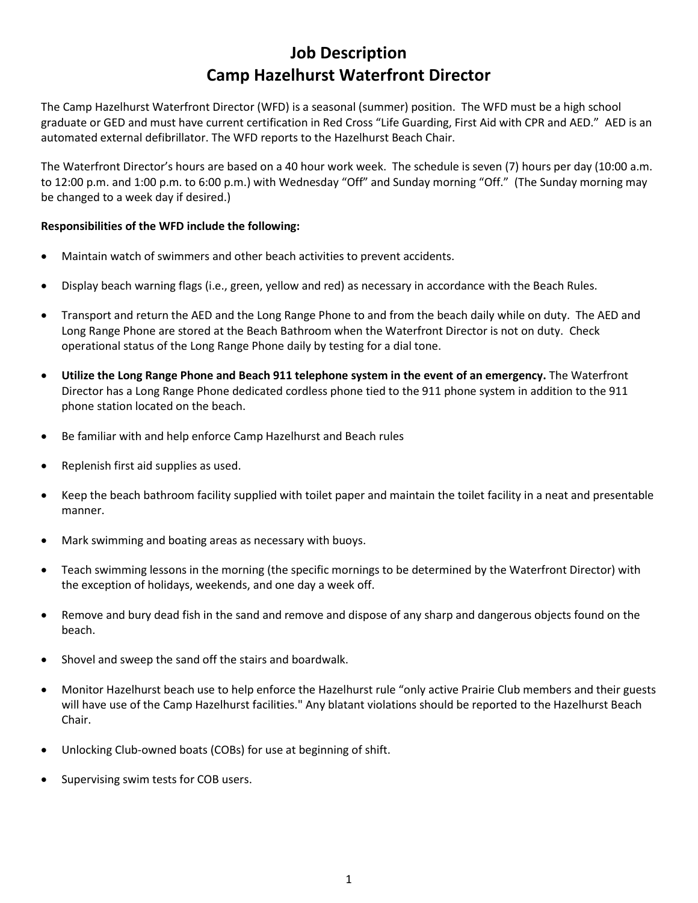## **Job Description Camp Hazelhurst Waterfront Director**

The Camp Hazelhurst Waterfront Director (WFD) is a seasonal (summer) position. The WFD must be a high school graduate or GED and must have current certification in Red Cross "Life Guarding, First Aid with CPR and AED." AED is an automated external defibrillator. The WFD reports to the Hazelhurst Beach Chair.

The Waterfront Director's hours are based on a 40 hour work week. The schedule is seven (7) hours per day (10:00 a.m. to 12:00 p.m. and 1:00 p.m. to 6:00 p.m.) with Wednesday "Off" and Sunday morning "Off." (The Sunday morning may be changed to a week day if desired.)

## **Responsibilities of the WFD include the following:**

- Maintain watch of swimmers and other beach activities to prevent accidents.
- Display beach warning flags (i.e., green, yellow and red) as necessary in accordance with the Beach Rules.
- Transport and return the AED and the Long Range Phone to and from the beach daily while on duty. The AED and Long Range Phone are stored at the Beach Bathroom when the Waterfront Director is not on duty. Check operational status of the Long Range Phone daily by testing for a dial tone.
- **Utilize the Long Range Phone and Beach 911 telephone system in the event of an emergency.** The Waterfront Director has a Long Range Phone dedicated cordless phone tied to the 911 phone system in addition to the 911 phone station located on the beach.
- Be familiar with and help enforce Camp Hazelhurst and Beach rules
- Replenish first aid supplies as used.
- Keep the beach bathroom facility supplied with toilet paper and maintain the toilet facility in a neat and presentable manner.
- Mark swimming and boating areas as necessary with buoys.
- Teach swimming lessons in the morning (the specific mornings to be determined by the Waterfront Director) with the exception of holidays, weekends, and one day a week off.
- Remove and bury dead fish in the sand and remove and dispose of any sharp and dangerous objects found on the beach.
- Shovel and sweep the sand off the stairs and boardwalk.
- Monitor Hazelhurst beach use to help enforce the Hazelhurst rule "only active Prairie Club members and their guests will have use of the Camp Hazelhurst facilities." Any blatant violations should be reported to the Hazelhurst Beach Chair.
- Unlocking Club-owned boats (COBs) for use at beginning of shift.
- Supervising swim tests for COB users.